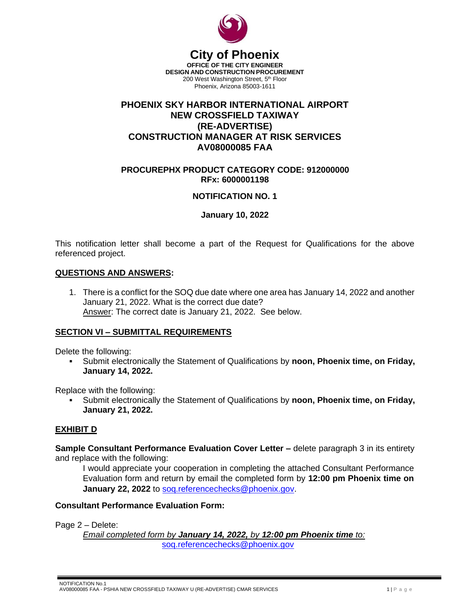

# **City of Phoenix**

**OFFICE OF THE CITY ENGINEER DESIGN AND CONSTRUCTION PROCUREMENT** 200 West Washington Street, 5<sup>th</sup> Floor Phoenix, Arizona 85003-1611

## **PHOENIX SKY HARBOR INTERNATIONAL AIRPORT NEW CROSSFIELD TAXIWAY (RE-ADVERTISE) CONSTRUCTION MANAGER AT RISK SERVICES AV08000085 FAA**

#### **PROCUREPHX PRODUCT CATEGORY CODE: 912000000 RFx: 6000001198**

### **NOTIFICATION NO. 1**

#### **January 10, 2022**

This notification letter shall become a part of the Request for Qualifications for the above referenced project.

#### **QUESTIONS AND ANSWERS:**

1. There is a conflict for the SOQ due date where one area has January 14, 2022 and another January 21, 2022. What is the correct due date? Answer: The correct date is January 21, 2022. See below.

#### **SECTION VI – SUBMITTAL REQUIREMENTS**

Delete the following:

Submit electronically the Statement of Qualifications by **noon, Phoenix time, on Friday, January 14, 2022.**

Replace with the following:

Submit electronically the Statement of Qualifications by **noon, Phoenix time, on Friday, January 21, 2022.**

#### **EXHIBIT D**

**Sample Consultant Performance Evaluation Cover Letter –** delete paragraph 3 in its entirety and replace with the following:

I would appreciate your cooperation in completing the attached Consultant Performance Evaluation form and return by email the completed form by **12:00 pm Phoenix time on January 22, 2022** to [soq.referencechecks@phoenix.gov.](mailto:soq.referencechecks@phoenix.gov)

#### **Consultant Performance Evaluation Form:**

Page 2 – Delete:

*Email completed form by January 14, 2022, by 12:00 pm Phoenix time to:* [soq.referencechecks@phoenix.gov](mailto:soq.referencechecks@phoenix.gov)

 NOTIFICATION No.1 AV08000085 FAA - PSHIA NEW CROSSFIELD TAXIWAY U (RE-ADVERTISE) CMAR SERVICES 1 1 1 1 2 1 2 1 2 1 2 2 1 2 2 2 2